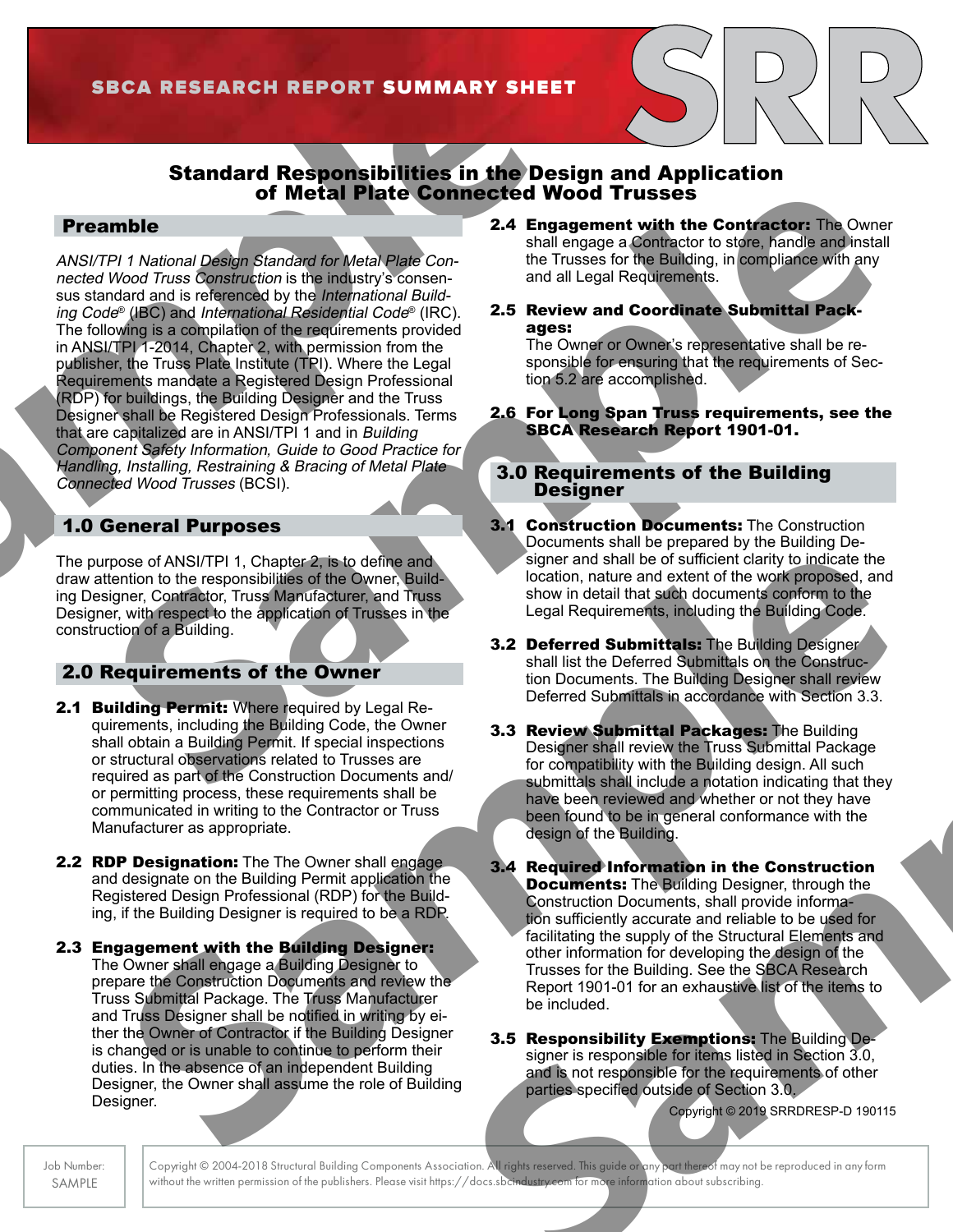# Standard Responsibilities in the Design and Application of Metal Plate Connected Wood Trusses

### Preamble

**SBCA RESEARCH REPORT SUMMARY SHEET**<br>
Standard Responsibilities in the Design<br>
of Metal Plate Connected Wood<br>
MSI/TPI 1 National Design Standard for Metal Plate Connected Wood<br>
medel Wood Truss Construction is the industry **Proximitely**<br> **Connection of Metal Plate Connection Experiment with the Confederation Theorem Soveting Connection of Metal Plate Connection of the Bulleting Register of the Connection of the Connection of the Connection** ANSI/TPI 1 National Design Standard for Metal Plate Connected Wood Truss Construction is the industry's consensus standard and is referenced by the International Building Code® (IBC) and International Residential Code® (IRC). The following is a compilation of the requirements provided in ANSI/TPI 1-2014, Chapter 2, with permission from the publisher, the Truss Plate Institute (TPI). Where the Legal Requirements mandate a Registered Design Professional (RDP) for buildings, the Building Designer and the Truss Designer shall be Registered Design Professionals. Terms that are capitalized are in ANSI/TPI 1 and in Building Component Safety Information*,* Guide to Good Practice for Handling, Installing, Restraining & Bracing of Metal Plate Connected Wood Trusses (BCSI).

### 1.0 General Purposes

The purpose of ANSI/TPI 1, Chapter 2, is to define and draw attention to the responsibilities of the Owner, Building Designer, Contractor, Truss Manufacturer, and Truss Designer, with respect to the application of Trusses in the construction of a Building.

### 2.0 Requirements of the Owner

- 2.1 Building Permit: Where required by Legal Requirements, including the Building Code, the Owner shall obtain a Building Permit. If special inspections or structural observations related to Trusses are required as part of the Construction Documents and/ or permitting process, these requirements shall be communicated in writing to the Contractor or Truss Manufacturer as appropriate.
- **2.2 RDP Designation:** The The Owner shall engage and designate on the Building Permit application the Registered Design Professional (RDP) for the Building, if the Building Designer is required to be a RDP.
- 2.3 Engagement with the Building Designer: The Owner shall engage a Building Designer to prepare the Construction Documents and review the Truss Submittal Package. The Truss Manufacturer and Truss Designer shall be notified in writing by either the Owner of Contractor if the Building Designer is changed or is unable to continue to perform their duties. In the absence of an independent Building Designer, the Owner shall assume the role of Building Designer.
- 2.4 Engagement with the Contractor: The Owner shall engage a Contractor to store, handle and install the Trusses for the Building, in compliance with any and all Legal Requirements.
- 2.5 Review and Coordinate Submittal Packages:

The Owner or Owner's representative shall be responsible for ensuring that the requirements of Section 5.2 are accomplished.

2.6 For Long Span Truss requirements, see the SBCA Research Report 1901-01.

### 3.0 Requirements of the Building **Designer**

- **3.1 Construction Documents:** The Construction Documents shall be prepared by the Building Designer and shall be of sufficient clarity to indicate the location, nature and extent of the work proposed, and show in detail that such documents conform to the Legal Requirements, including the Building Code.
- **3.2 Deferred Submittals: The Building Designer** shall list the Deferred Submittals on the Construction Documents. The Building Designer shall review Deferred Submittals in accordance with Section 3.3.
- **3.3 Review Submittal Packages: The Building** Designer shall review the Truss Submittal Package for compatibility with the Building design. All such submittals shall include a notation indicating that they have been reviewed and whether or not they have been found to be in general conformance with the design of the Building.
- Sample and ANSICIPIT 1. Chapter 2. this determinister of the Compatibility of the Compatibility of the Compatibility of the Compatibility of the Compatibility of the Compatibility of the Compatibility of the Compatibility shall list the Deterred Submitted on the Construction<br>
The Constrainer of the Building Designer shall review<br>
Deferred Submittial Packages: The Building<br>
are<br>
Sample in the Tuss Sample in the Tuss of the Compatibility with 3.4 Required Information in the Construction **Documents:** The Building Designer, through the Construction Documents, shall provide information sufficiently accurate and reliable to be used for facilitating the supply of the Structural Elements and other information for developing the design of the Trusses for the Building. See the SBCA Research Report 1901-01 for an exhaustive list of the items to be included.
	- **3.5 Responsibility Exemptions:** The Building Designer is responsible for items listed in Section 3.0, and is not responsible for the requirements of other parties specified outside of Section 3.0.

Copyright © 2019 SRRDRESP-D 190115

Job Number: SAMPLE

Copyright © 2004-2018 Structural Building Components Association. All rights reserved. This guide or any part thereof may not be reproduced in any form without the written permission of the publishers. Please visit https://docs.sbcindustry.com for more information about subscribing.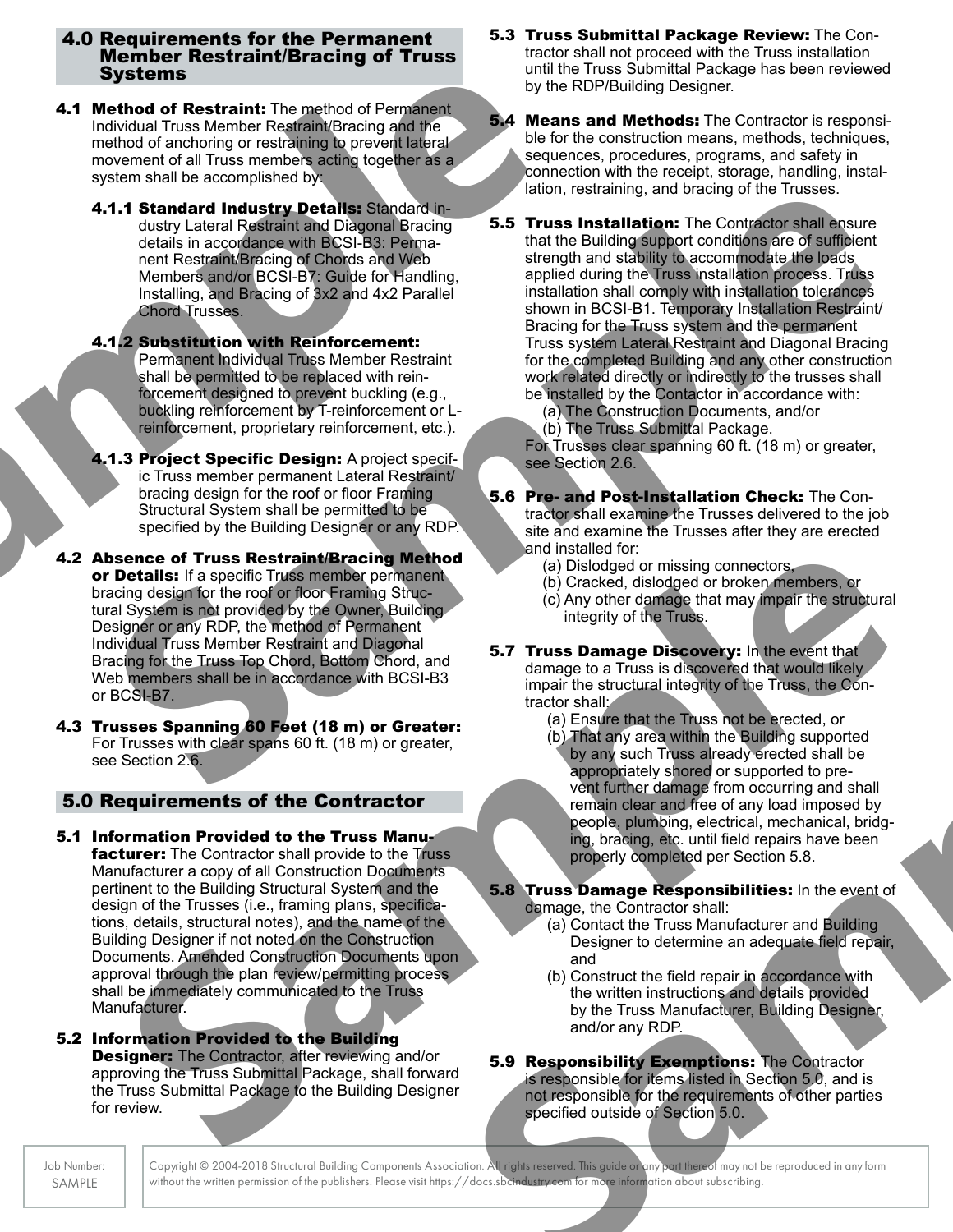### 4.0 Requirements for the Permanent Member Restraint/Bracing of Truss Systems

- **4.1 Method of Restraint:** The method of Permanent Individual Truss Member Restraint/Bracing and the method of anchoring or restraining to prevent lateral movement of all Truss members acting together as a system shall be accomplished by:
	- 4.1.1 Standard Industry Details: Standard industry Lateral Restraint and Diagonal Bracing details in accordance with BCSI-B3: Permanent Restraint/Bracing of Chords and Web Members and/or BCSI-B7: Guide for Handling, Installing, and Bracing of 3x2 and 4x2 Parallel Chord Trusses.
	- 4.1.2 Substitution with Reinforcement: Permanent Individual Truss Member Restraint shall be permitted to be replaced with reinforcement designed to prevent buckling (e.g., buckling reinforcement by T-reinforcement or Lreinforcement, proprietary reinforcement, etc.).
	- 4.1.3 Project Specific Design: A project specific Truss member permanent Lateral Restraint/ bracing design for the roof or floor Framing Structural System shall be permitted to be specified by the Building Designer or any RDP.
- Systems<br>
1.1 Method of Restraint: The method of Permainent<br>
Individual Truss Member Restraint/Bracing and the<br>
movement of anchoring or restraining to prevent lateral<br>
movement of all Truss members acting together as a seq 4.2 Absence of Truss Restraint/Bracing Method or Details: If a specific Truss member permanent bracing design for the roof or floor Framing Structural System is not provided by the Owner, Building Designer or any RDP, the method of Permanent Individual Truss Member Restraint and Diagonal Bracing for the Truss Top Chord, Bottom Chord, and Web members shall be in accordance with BCSI-B3 or BCSI-B7.
	- 4.3 Trusses Spanning 60 Feet (18 m) or Greater: For Trusses with clear spans 60 ft. (18 m) or greater, see Section 2.6.

## 5.0 Requirements of the Contractor

- **Section 26**<br> **Sample in the role of Trues Retartable Total contractor**<br>
Sample in the role of the Fourier Contractor<br>
Sample in the role of the Technical Contractor<br>
Sample in the role of the Technical Contractor<br>
Sample 5.1 Information Provided to the Truss Manu**facturer:** The Contractor shall provide to the Truss Manufacturer a copy of all Construction Documents pertinent to the Building Structural System and the design of the Trusses (i.e., framing plans, specifications, details, structural notes), and the name of the Building Designer if not noted on the Construction Documents. Amended Construction Documents upon approval through the plan review/permitting process shall be immediately communicated to the Truss Manufacturer.
- 5.2 Information Provided to the Building **Designer:** The Contractor, after reviewing and/or approving the Truss Submittal Package, shall forward the Truss Submittal Package to the Building Designer for review.
- 5.3 Truss Submittal Package Review: The Contractor shall not proceed with the Truss installation until the Truss Submittal Package has been reviewed by the RDP/Building Designer.
- **5.4 Means and Methods:** The Contractor is responsible for the construction means, methods, techniques, sequences, procedures, programs, and safety in connection with the receipt, storage, handling, installation, restraining, and bracing of the Trusses.
- **4.1.4 Standard Industry Details:** Sample of the Times and the property of the sample of the sample of the sample of the sample of the sample of the sample of the sample of the sample of the sample of the sample of the sam **5.5 Truss Installation:** The Contractor shall ensure that the Building support conditions are of sufficient strength and stability to accommodate the loads. applied during the Truss installation process. Truss installation shall comply with installation tolerances shown in BCSI-B1. Temporary Installation Restraint/ Bracing for the Truss system and the permanent Truss system Lateral Restraint and Diagonal Bracing for the completed Building and any other construction work related directly or indirectly to the trusses shall be installed by the Contactor in accordance with:
	- (a) The Construction Documents, and/or
	- (b) The Truss Submittal Package.

For Trusses clear spanning 60 ft. (18 m) or greater, see Section 2.6.

- 5.6 Pre- and Post-Installation Check: The Contractor shall examine the Trusses delivered to the job site and examine the Trusses after they are erected and installed for:
	- (a) Dislodged or missing connectors,
	- (b) Cracked, dislodged or broken members, or
	- (c) Any other damage that may impair the structural integrity of the Truss.
- **5.7 Truss Damage Discovery:** In the event that damage to a Truss is discovered that would likely impair the structural integrity of the Truss, the Contractor shall:
	- (a) Ensure that the Truss not be erected, or
- The street of the top and the street of the street of the street of the street of the street of the street of the street of the street of the street of the street of the street of the street of the street of the street of (b) That any area within the Building supported by any such Truss already erected shall be appropriately shored or supported to prevent further damage from occurring and shall remain clear and free of any load imposed by people, plumbing, electrical, mechanical, bridging, bracing, etc. until field repairs have been properly completed per Section 5.8.

#### **5.8 Truss Damage Responsibilities:** In the event of damage, the Contractor shall:

- (a) Contact the Truss Manufacturer and Building Designer to determine an adequate field repair, and
- (b) Construct the field repair in accordance with the written instructions and details provided by the Truss Manufacturer, Building Designer, and/or any RDP.

**5.9 Responsibility Exemptions: The Contractor** is responsible for items listed in Section 5.0, and is not responsible for the requirements of other parties specified outside of Section 5.0.

Copyright © 2004-2018 Structural Building Components Association. All rights reserved. This guide or any part thereof may not be reproduced in any form without the written permission of the publishers. Please visit https://docs.sbc<del>industry.com for more</del> information about subscribing.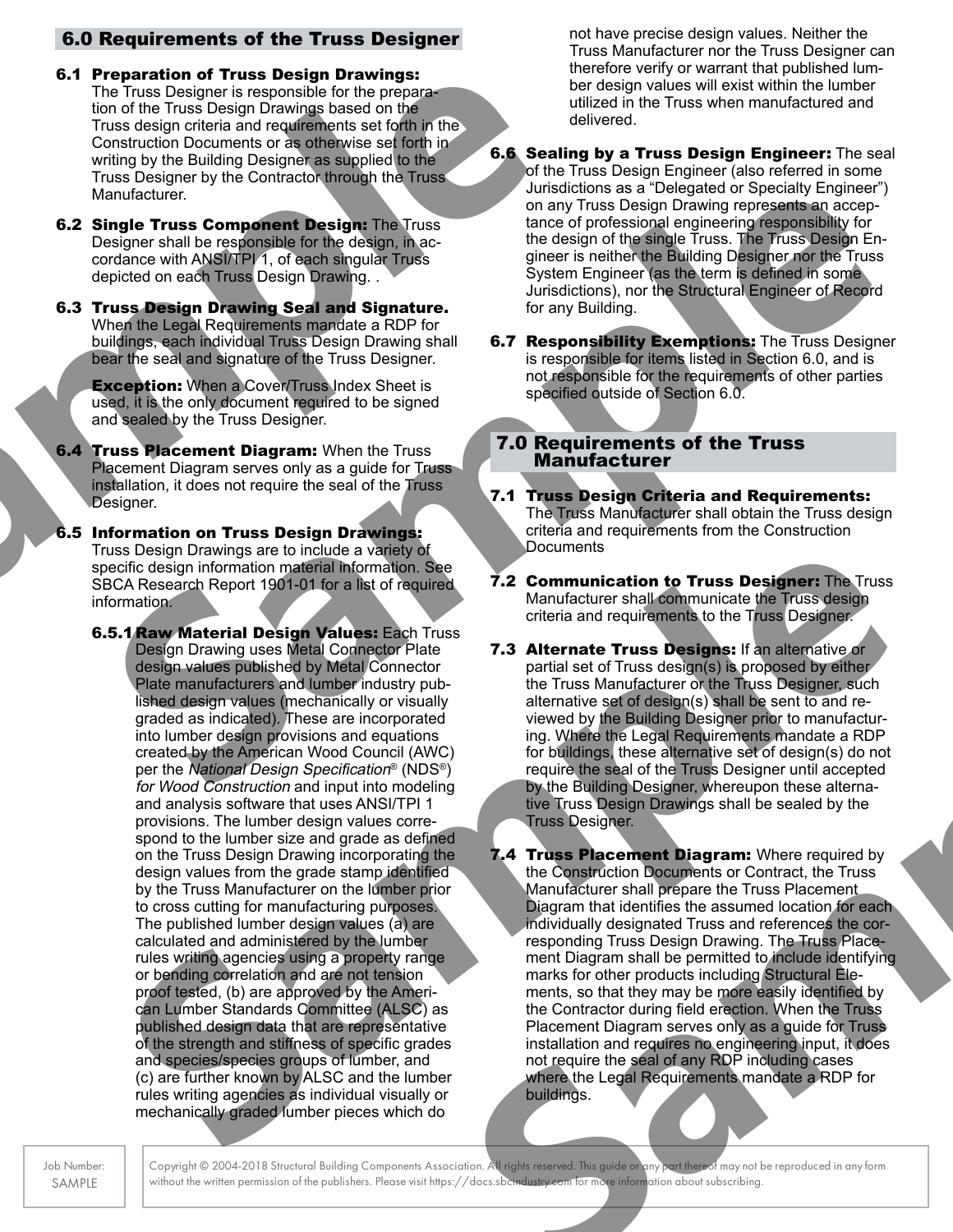# 6.0 Requirements of the Truss Designer

- **6.1 Preparation of Truss Design Drawings based on the Constant Constant Constant Constant Constant Constant Constant Constant Constant Constant Constant Constant Constant Constant Constant Constant Constant Constant Const** 6.1 Preparation of Truss Design Drawings: The Truss Designer is responsible for the preparation of the Truss Design Drawings based on the Truss design criteria and requirements set forth in the Construction Documents or as otherwise set forth in writing by the Building Designer as supplied to the Truss Designer by the Contractor through the Truss Manufacturer.
	- **6.2 Single Truss Component Design: The Truss** Designer shall be responsible for the design, in accordance with ANSI/TPI 1, of each singular Truss depicted on each Truss Design Drawing. .
	- 6.3 Truss Design Drawing Seal and Signature. When the Legal Requirements mandate a RDP for buildings, each individual Truss Design Drawing shall bear the seal and signature of the Truss Designer.

**Exception:** When a Cover/Truss Index Sheet is used, it is the only document required to be signed and sealed by the Truss Designer.

- **6.4 Truss Placement Diagram:** When the Truss Placement Diagram serves only as a quide for Truss installation, it does not require the seal of the Truss Designer.
- 6.5 Information on Truss Design Drawings: Truss Design Drawings are to include a variety of specific design information material information. See SBCA Research Report 1901-01 for a list of required information.
- Manufacturer<br>
Sample Trues Component Design in The Trues Component Design in the Sample Trues Component Design in the Sample Trues of the Sample Trues Component Design Inc.<br>
Confine and Trues Component Design Inc. Design E Sleeling Devines are to include a valee of the contract in the search Report 3.2 Communication for Trues Designer The Trues Contract Report 3.2 Communication for Trues Designer The Trues Contract Report 3.2 Communication f **6.5.1 Raw Material Design Values: Each Truss** Design Drawing uses Metal Connector Plate design values published by Metal Connector Plate manufacturers and lumber industry published design values (mechanically or visually graded as indicated). These are incorporated into lumber design provisions and equations created by the American Wood Council (AWC) per the National Design Specification® (NDS®) for Wood Construction and input into modeling and analysis software that uses ANSI/TPI 1 provisions. The lumber design values correspond to the lumber size and grade as defined on the Truss Design Drawing incorporating the design values from the grade stamp identified by the Truss Manufacturer on the lumber prior to cross cutting for manufacturing purposes. The published lumber design values (a) are calculated and administered by the lumber rules writing agencies using a property range or bending correlation and are not tension proof tested, (b) are approved by the American Lumber Standards Committee (ALSC) as published design data that are representative of the strength and stiffness of specific grades and species/species groups of lumber, and (c) are further known by ALSC and the lumber rules writing agencies as individual visually or mechanically graded lumber pieces which do

not have precise design values. Neither the Truss Manufacturer nor the Truss Designer can therefore verify or warrant that published lumber design values will exist within the lumber utilized in the Truss when manufactured and delivered.

- **6.6 Sealing by a Truss Design Engineer:** The seal of the Truss Design Engineer (also referred in some Jurisdictions as a "Delegated or Specialty Engineer") on any Truss Design Drawing represents an acceptance of professional engineering responsibility for the design of the single Truss. The Truss Design Engineer is neither the Building Designer nor the Truss System Engineer (as the term is defined in some Jurisdictions), nor the Structural Engineer of Record for any Building.
- **6.7 Responsibility Exemptions: The Truss Designer** is responsible for items listed in Section 6.0, and is not responsible for the requirements of other parties specified outside of Section 6.0.

### 7.0 Requirements of the Truss **Manufacturer**

- 7.1 Truss Design Criteria and Requirements: The Truss Manufacturer shall obtain the Truss design criteria and requirements from the Construction **Documents**
- 7.2 Communication to Truss Designer: The Truss Manufacturer shall communicate the Truss design criteria and requirements to the Truss Designer.
- **7.3 Alternate Truss Designs: If an alternative or** partial set of Truss design(s) is proposed by either the Truss Manufacturer or the Truss Designer, such alternative set of design(s) shall be sent to and reviewed by the Building Designer prior to manufacturing. Where the Legal Requirements mandate a RDP for buildings, these alternative set of design(s) do not require the seal of the Truss Designer until accepted by the Building Designer, whereupon these alternative Truss Design Drawings shall be sealed by the Truss Designer.
- nettor<br>
methapone of Tuss design(s) is proposed by either<br>
try pub-<br>
the Truss Manufacturer of the Tuss Designer, such<br>
visually<br>
alternative sel of design(s) shall be sent to and re-<br>
visually (AWC) for bigining these alt 7.4 Truss Placement Diagram: Where required by the Construction Documents or Contract, the Truss Manufacturer shall prepare the Truss Placement Diagram that identifies the assumed location for each individually designated Truss and references the corresponding Truss Design Drawing. The Truss Placement Diagram shall be permitted to include identifying marks for other products including Structural Elements, so that they may be more easily identified by the Contractor during field erection. When the Truss Placement Diagram serves only as a guide for Truss installation and requires no engineering input, it does not require the seal of any RDP including cases where the Legal Requirements mandate a RDP for buildings.

Copyright © 2004-2018 Structural Building Components Association. All rights reserved. This guide or any part thereof may not be reproduced in any form without the written permission of the publishers. Please visit https://docs.sbc<del>industry.com for more</del> information about subscribing.